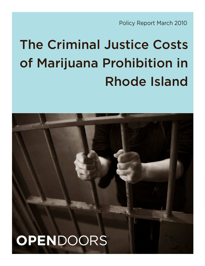Policy Report March 2010

# The Criminal Justice Costs of Marijuana Prohibition in Rhode Island

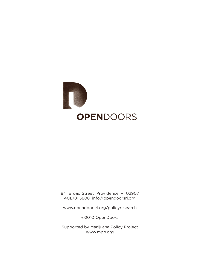

841 Broad Street Providence, RI 02907 401.781.5808 info@opendoorsri.org

www.opendoorsri.org/policyresearch

©2010 OpenDoors

Supported by Marijuana Policy Project www.mpp.org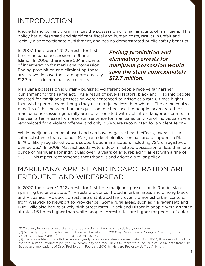# INTRODUCTION

Rhode Island currently criminalizes the possession of small amounts of marijuana. This policy has widespread and significant fiscal and human costs, results in unfair and racially disproportionate punishment, and has no demonstrated public safety benefits.

In 2007, there were 1,922 arrests for firsttime marijuana possession in Rhode Island. In 2008, there were 584 incidents of incarceration for marijuana possession. $^{\mathrm{1}}$ Ending prohibition and eliminating these arrests would save the state approximately \$12.7 million in criminal justice costs.

*Ending prohibition and eliminating arrests for marijuana possession would save the state approximately \$12.7 million.*

Marijuana possession is unfairly punished—different people receive far harsher punishment for the same act. As a result of several factors, black and Hispanic people arrested for marijuana possession were sentenced to prison at a rate 8 times higher than white people even though they use marijuana less than whites. The crime control benefits of this incarceration are questionable because the people incarcerated for marijuana possession generally are not associated with violent or dangerous crime. In the year after release from a prison sentence for marijuana, only 7% of individuals were reconvicted for a violent offense, and only 2.5% were reconvicted for a violent felony.

While marijuana can be abused and can have negative health effects, overall it is a safer substance than alcohol. Marijuana decriminalization has broad support in RI: 64% of likely registered voters support decriminalization, including 72% of registered democrats. $^2$  In 2009, Massachusetts voters decriminalized possession of less than one ounce of marijuana for individuals over 18 years of age, replacing arrest with a fine of \$100. This report recommends that Rhode Island adopt a similar policy.

# MARIJUANA ARREST AND INCARCERATION ARE FREQUENT AND WIDESPREAD

In 2007, there were 1,922 arrests for first-time marijuana possession in Rhode Island, spanning the entire state. $3$  Arrests are concentrated in urban areas and among black and Hispanics. However, arrests are distributed fairly evenly amongst urban centers, from Warwick to Newport to Providence. Some rural areas, such as Narragansett and Burrillville also had relatively high arrest rates. Black and Hispanic people were arrested at rates 1.6 times higher than white people. Arrest rates are higher for people of color

[1] This only includes people charged for possession, not for intent to delivery or delivery.

[2] 625 likely registered voters were interviewed April 29-30, 2008 by Mason-Dixon Polling & Research, Inc. of Washington, D.C. Margin for error is plus or minus 4%.

[3] The Rhode Island State Police releases yearly reports on statewide arrest data. Until 2004, those reports included the total number of arrests per year, by community and race. In 2004, there were 1725 arrests. 2007 data from "The Budgetary Implications of Drug Prohibition," February 2010, by Harvard Professor Jeffrey A. Miron.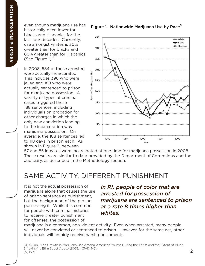even though marijuana use has historically been lower for blacks and Hispanics for the last four decades. Currently, use amongst whites is 30% greater than for blacks and 60% greater than for Hispanics (See Figure 1). $4$ 

In 2008, 584 of those arrested were actually incarcerated. This includes 396 who were jailed and 188 who were actually sentenced to prison for marijuana possession. A variety of types of criminal cases triggered these 188 sentences, including individuals on probation for other charges in which the only new conviction leading to the incarceration was marijuana possession. On average, the 188 sentences led to 118 days in prison each. As shown in Figure 2, between

Figure 1. Nationwide Marijuana Use by Race<sup>5</sup>



57 and 85 inmates were incarcerated at one time for marijuana possession in 2008. These results are similar to data provided by the Department of Corrections and the Judiciary, as described in the Methodology section.

### SAME ACTIVITY, DIFFERENT PUNISHMENT

It is not the actual possession of marijuana alone that causes the use of prison sentence as punishment, but the background of the person possessing it. While it is common for people with criminal histories to receive greater punishment for offenses, the possession of

### *In RI, people of color that are arrested for possession of marijuana are sentenced to prison at a rate 8 times higher than whites.*

marijuana is a common, non-violent activity. Even when arrested, many people will never be convicted or sentenced to prison. However, for the same act, other individuals will unfairly receive harsh punishments.

[4] Gulab, "The Growth in Marijuana Use Among American Youths During the 1990s and the Extent of Blunt Smoking," J Ethn Subst Abuse. 2005; 4(3-4): 1–21. [5] Ibid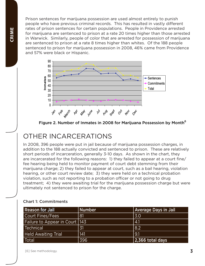Prison sentences for marijuana possession are used almost entirely to punish people who have previous criminal records. This has resulted in vastly different rates of prison sentences for certain populations. People in Providence arrested for marijuana are sentenced to prison at a rate 20 times higher than those arrested in Warwick. Similarly, people of color that are arrested for possession of marijuana are sentenced to prison at a rate 8 times higher than whites. Of the 188 people sentenced to prison for marijuana possession in 2008, 46% came from Providence and 57% were black or Hispanic.



Figure 2. Number of Inmates in 2008 for Marijuana Possession by Month<sup>6</sup>

# OTHER INCARCERATIONS

In 2008, 396 people were put in jail because of marijuana possession charges, in addition to the 188 actually convicted and sentenced to prison. These are relatively short periods of incarceration, generally 3-10 days. As shown in the chart, they are incarcerated for the following reasons: 1) they failed to appear at a court fine/ fee hearing being held to monitor payment of court debt stemming from their marijuana charge; 2) they failed to appear at court, such as a bail hearing, violation hearing, or other court review date; 3) they were held on a technical probation violation, such as not reporting to a probation officer or not going to drug treatment; 4) they were awaiting trial for the marijuana possession charge but were ultimately not sentenced to prison for the charge.

| <b>Reason for Jail</b>           | <b>Number</b> | <b>Average Days in Jail</b> |
|----------------------------------|---------------|-----------------------------|
| Court Fines/Fees                 | 81            | 3.0                         |
| Failure to Appear in Court   143 |               | 4.1                         |
| <b>Technical</b>                 | 31            | 8.2                         |
| <b>Held Awaiting Trial</b>       | 141           | 9.1                         |
| Total                            | 396           | $ 2,366$ total days         |

#### Chart 1: Commitments

[6] See methodology.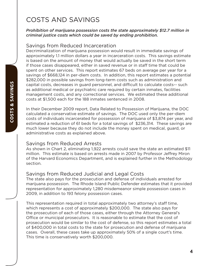# COSTS AND SAVINGS

#### *Prohibition of marijuana possession costs the state approximately \$12.7 million in criminal justice costs which could be saved by ending prohibition.*

### Savings from Reduced Incarceration

Decriminalization of marijuana possession would result in immediate savings of approximately 1.1 million dollars a year in incarceration costs. This savings estimate is based on the amount of money that would actually be saved in the short term if those cases disappeared, either in saved revenue or in staff time that could be spent on other services. This report estimates 67 beds on average per year for a savings of \$668,124 in per-diem costs. In addition, this report estimates a potential \$282,000 in possible savings from long-term costs such as administration and capital costs, decreases in guard personnel, and difficult to calculate costs-- such as additional medical or psychiatric care required by certain inmates, facilities management costs, and any correctional services. We estimated these additional costs at \$1,500 each for the 188 inmates sentenced in 2008.

In their December 2009 report, Data Related to Possession of Marijuana, the DOC calculated a conservative estimate of savings. The DOC used only the per-diem costs of individuals incarcerated for possession of marijuana of \$3,874 per year, and estimated a reduction of 61 beds for a total savings of \$236,314. These savings are much lower because they do not include the money spent on medical, guard, or administrative costs as explained above.

#### Savings from Reduced Arrests

As shown in Chart 2, eliminating 1,922 arrests could save the state an estimated \$11 million. This estimate is based on arrests made in 2007 by Professor Jeffrey Miron of the Harvard Economics Department, and is explained further in the Methodology section.

### Savings from Reduced Judicial and Legal Costs

The state also pays for the prosecution and defense of individuals arrested for marijuana possession. The Rhode Island Public Defender estimates that it provided representation for approximately 1,280 misdemeanor simple possession cases in 2009, in addition to 193 felony possession cases.

This representation required in total approximately two attorney's staff time, which represents a cost of approximately \$200,000. The state also pays for the prosecution of each of those cases, either through the Attorney General's Office or municipal prosecutors. It is reasonable to estimate that the cost of prosecution would be similar to the cost of defense, so this report estimates a total of \$400,000 in total costs to the state for prosecution and defense of marijuana cases. Overall, these cases take up approximately 50% of a single court's time. This time is conservatively worth \$200,000.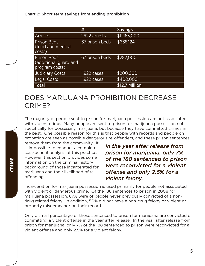Chart 2: Short term savings from ending prohibition

|                                                               | #              | <b>Savings</b> |
|---------------------------------------------------------------|----------------|----------------|
| <b>Arrests</b>                                                | 1,922 arrests  | \$11,163,000   |
| <b>Prison Beds</b><br>(food and medical<br>costs)             | 67 prison beds | \$668,124      |
| <b>Prison Beds</b><br>(additional guard and<br>program costs) | 67 prison beds | \$282,000      |
| <b>Judiciary Costs</b>                                        | $1,922$ cases  | \$200,000      |
| <b>Legal Costs</b>                                            | $1,922$ cases  | \$400,000      |
| <b>Total</b>                                                  |                | \$12.7 Million |

### DOES MARIJUANA PROHIBITION DECREASE CRIME?

The majority of people sent to prison for marijuana possession are not associated with violent crime. Many people are sent to prison for marijuana possession not specifically for possessing marijuana, but because they have committed crimes in the past. One possible reason for this is that people with records and people on probation are seen as possible dangerous re-offenders, and these prison sentences

remove them from the community. It is impossible to conduct a complete cost-benefit analysis of this practice. However, this section provides some information on the criminal history background of those incarcerated for marijuana and their likelihood of reoffending.

*In the year after release from prison for marijuana, only 7% of the 188 sentenced to prison were reconvicted for a violent offense and only 2.5% for a violent felony.*

Incarceration for marijuana possession is used primarily for people not associated with violent or dangerous crime. Of the 188 sentences to prison in 2008 for marijuana possession, 67% were of people never previously convicted of a nondrug related felony. In addition, 50% did not have a non-drug felony or violent or property misdemeanor on their record.

Only a small percentage of those sentenced to prison for marijuana are convicted of committing a violent offense in the year after release. In the year after release from prison for marijuana, only 7% of the 188 sentenced to prison were reconvicted for a violent offense and only 2.5% for a violent felony.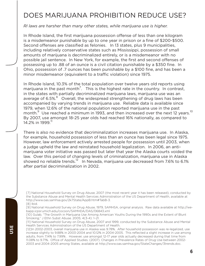# DOES MARIJUANA PROHIBITION REDUCE USE?

#### *RI laws are harsher than many other states, while marijuana use is higher.*

In Rhode Island, the first marijuana possession offense of less than one kilogram is a misdemeanor punishable by up to one year in prison or a fine of \$200-\$500. Second offenses are classified as felonies. In 13 states, plus 9 municipalities, including relatively conservative states such as Mississippi, possession of small amounts of marijuana is decriminalized entirely, or is a misdemeanor with no possible jail sentence. In New York, for example, the first and second offenses of possessing up to .88 of an ounce is a civil citation punishable by a \$350 fine. In Ohio, possession of .7 ounces has been punishable by a \$100 fine, and has been a minor misdemeanor (equivalent to a traffic violation) since 1975.

In Rhode Island, 10.3% of the total population over twelve years old reports using marijuana in the past month<sup>7</sup>. This is the highest rate in the country. In contrast, in the states with partially decriminalized marijuana laws, marijuana use was an average of 6.5%.<sup>8</sup> Overall, the widespread strengthening of drug laws has been accompanied by varying trends in marijuana use. Reliable data is available since 1979, when 12.6% of the national population reported marijuana use in the past month.<sup>9</sup> Use reached a minimum in 1993, and then increased over the next 12 years.<sup>10</sup> By 2007, use amongst 18-25 year olds had reached 16% nationally, as compared to 14.2% in 1999.<sup>11</sup>

There is also no evidence that decriminalization increases marijuana use. In Alaska, for example, household possession of less than an ounce has been legal since 1975. However, law enforcement actively arrested people for possession until 2003, when a judge upheld the law and reinstated household legalization. In 2006, an antimarijuana voter initiative was passed but later that year the Alaska courts voided the law. Over this period of changing levels of criminalization, marijuana use in Alaska showed no reliable trends.<sup>12</sup> In Nevada, marijuana use decreased from 7.6% to 6.1% after partial decriminalization in 2002.

[7] National Household Survey on Drug Abuse, 2007 (the most recent year it has been released), conducted by the Substance Abuse and Mental Health Services Administration of the US Department of Health, available at http://www.oas.samhsa.gov/2k7State/AppB.htm#TabB-3.

<sup>[8]</sup> Ibid.

<sup>[9]</sup> National Household Survey on Drug Abuse, 1979, SAMHSA, original analysis. Raw data available at http://webapp.icpsr.umich.edu/cocoon/SAMHDA/DAS/06843.xml

<sup>[10]</sup> Gulab, "The Growth in Marijuana Use Among American Youths During the 1990s and the Extent of Blunt Smoking," J Ethn Subst Abuse. 2005; 4(3-4): 1–21.

<sup>[11]</sup> National Household Survey on Drug Abuse, 2007 and 1999, conducted by the Substance Abuse and Mental Health Services Administration of the US Department of Health.

<sup>[12]</sup>In 2002-2003, overall marijuana use in Alaska was 9.78%. After household possession was re-legalized, use increase slightly to 9.88% in 2003-2004 and 10.12% in 2004-2005. This reflected a slight increase in use among adults, from 7.14% to 7.99% . However, use amongst 12-17 year olds actually decreased during that time from 11.08% to 9.71%. Office of Applied Studies. (2007). Changes in Prevalence Rates of Drug Use between 2002- 2003 and 2004-2005 among States, available at http://www.oas.samhsa.gov/StateChanges/3trends.doc.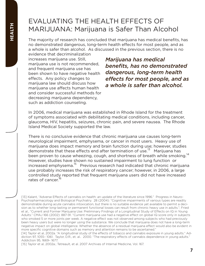# EVALUATING THE HEALTH EFFECTS OF MARIJUANA: Marijuana is Safer Than Alcohol

The majority of research has concluded that marijuana has medical benefits, has no demonstrated dangerous, long-term health effects for most people, and as a whole is safer than alcohol. As discussed in the previous section, there is no

evidence that decriminalization increases marijuana use. Still, marijuana use is not recommended, and frequent marijuana use has been shown to have negative health effects. Any policy changes to marijuana law should discuss how marijuana use affects human health and consider successful methods for decreasing marijuana dependency, such as addiction counseling.

*Marijuana has medical benefits, has no demonstrated dangerous, long-term health effects for most people, and as a whole is safer than alcohol.*

In 2006, medical marijuana was established in Rhode Island for the treatment of symptoms associated with debilitating medical conditions, including cancer, glaucoma, HIV, hepatitis, seizures, chronic pain, and severe nausea. The Rhode Island Medical Society supported the law.

There is no conclusive evidence that chronic marijuana use causes long-term neurological impairment, emphysema, or cancer in most users. Heavy use of marijuana does impact memory and brain function during use; however, studies demonstrate that these effects end after termination of use.<sup>13</sup> Marijuana has been proven to cause wheezing, cough, and shortness of breath while smoking.<sup>14</sup> However, studies have shown no sustained impairment to lung function or increased emphysema.<sup>15</sup> Previous research had indicated that chronic marijuana use probably increases the risk of respiratory cancer; however, in 2006, a large controlled study reported that frequent marijuana users did not have increased rates of cancer<sup>16</sup>

[13] Kalant, "Adverse Effects of cannabis on health: an update of the literature since 1996." Progress in Neuro-Psychopharmacology and Biological Psychiatry. 28 (2004): "Cognitive impairments of various types are readily demonstrable during acute cannabis intoxication, but there is no suitable evidence yet available to permit a decision as to whether long-lasting or permanent functional losses can result from chronic heavy use in adults."; Fried et al., "Current and Former Marijuana Use: Preliminary Findings of a Longitudinal Study of Effects on IQ in Young Adults." CMAJ 166 (2002): 887-91. "Current marijuana use had a negative effect on global IQ score only in subjects who smoked 5 or more joints per week. A negative effect was not observed among subjects who had previously been heavy users but were no longer using the substance. We conclude that marijuana does not have a long-term negative impact on global intelligence. Whether the absence of a residual marijuana effect would also be evident in more specific cognitive domains such as memory and attention remains to be ascertained."

[14] Taylor et al, 2002a. "A longitudinal study of the effects of tobacco and cannabis exposure in young adults." Addiction 97, 1055– 1061. Taylor, D.R., et. al.. 2000. "The respiratory effects of cannabis dependence in young adults." Addiction 95, 1669– 1677.

[15] Taylor et al, 2002a.; Tetreault, et al. 2007 Archives of Internal Medicine, Vol. 167.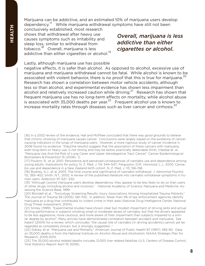Marijuana can be addictive, and an estimated 10% of marijuana users develop dependency.17 While marijuana withdrawal symptoms have still not been

conclusively established, most research shows that withdrawal after heavy use causes symptoms such as irritability and sleep loss, similar to withdrawal from tobacco.18 Overall, marijuana is less addictive than either cigarettes or alcohol.<sup>19</sup>

*Overall, marijuana is less addictive than either cigarettes or alcohol.*

Lastly, although marijuana use has possible

negative effects, it is safer than alcohol. As opposed to alcohol, excessive use of marijuana and marijuana withdrawal cannot be fatal. While alcohol is known to be associated with violent behavior, there is no proof that this is true for marijuana.<sup>20</sup> Research has shown a correlation between motor vehicle accidents, although less so than alcohol, and experimental evidence has shown less impairment than alcohol and relatively increased caution while driving.<sup>21</sup> Research has shown that frequent marijuana use has no long-term effects on mortality, while alcohol abuse is associated with 35,000 deaths per year. $2^2$  Frequent alcohol use is known to increase mortality rates through diseases such as liver cancer and cirrhosis.<sup>23</sup>

[16] In a 2002 review of the evidence, Hall and McPhee concluded that there was good grounds to believe that chronic smoking of marijuana causes cancer. Conclusions were largely based on the existence of cancercausing indicators in the lungs of marijuana users. However, a more rigorous study of cancer incidence in 2006 found no evidence: "they[the results] suggest that the association of these cancers with marijuana, even long-term or heavy use, is not strong and may be below practically detectable limits. (Hasibe et. al., "Marijuana Use And the Risk of Lung Caner and Upper Aerodigestive Tract Cancer." Cancer Epidemiological Biomarkers & Prevention 15 (2006) 3.

[17] Poulton, R., et al, 2001. Persistence and perceived consequences of cannabis use and dependence among young adults: implications for policy. N. Z. Med. J. 114, 544–547.; Fergusson, D.M., Horwood, L.J., 2000. Cannabis use and dependence in a New Zealand birth cohort. N. Z. Med. J. 113, 156–158.

[18] Budney, A.J., et al, 2003. The time course and significance of cannabis withdrawal. J. Abnormal Psychol. 112, 393–402; Smith, N.T., 2002. A review of the published literature into cannabis withdrawal symptoms in human users. Addiction 97, 621– 632.

[19] "Although [some] marijuana users develop dependence, they appear to be less likely to do so than users of other drugs (including alcohol and nicotine)." –National Academy of Science, Marijuana and Medicine: Assessing the Science Base, 1999

[20] Blondell et al., "Toxicology Screening Results: Injury Associations Among Hospitalized Trauma Patients," The Journal of Trauma 58 (2005); 561-700. In addition, fewer than 5% of law enforcement agencies identify marijuana as a drug that contributes to violent crime in their area (National Drug Intelligence Center, National Drug Threat Assessment, 2004).

[21] Smiley (1999). "Experimental studies have shown clear but modest impairment of driving skills and actual driving performance in subjects smoking small or moderate doses of cannabis, but that the drivers appeared to be less aggressive, more cautious, and more aware of their impairment than subjects impaired to a similar degree by alcohol"; Many articles have demonstrated correlation between accident and marijuana. See Kalant (2004) for a review, which concludes "the causal role of cannabis [in driving accidents] cannot yet be regarded as completely proven, but is strongly suggested…"

[22] Sidney, et al. "Marijuana use and Mortality." American Journal of Public Health 87 (1997): 585-90; Data on 35,000 deaths is from the National Institute on Alcohol Abuse and Alcoholism, NIAAA Strategic Plan for Research, 2009-2014.

[23] The 35,000 alcohol related deaths includes 12,000 liver related fatalities (U.S. Centers of Disease Control, Vital Statistics Report April 19, 2006).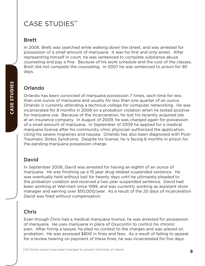# CASE STUDIES<sup>24</sup>

### Brett

In 2006, Brett was searched while walking down the street, and was arrested for possession of a small amount of marijuana. It was his first and only arrest. After representing himself in court, he was sentenced to complete substance abuse counseling and pay a fine. Because of his work schedule and the cost of the classes, Brett did not complete the counseling. In 2007 he was sentenced to prison for 90 days.

### Orlando

Orlando has been convicted of marijuana possession 7 times, each time for less than one ounce of marijuana and usually for less than one quarter of an ounce. Orlando is currently attending a technical college for computer networking. He was incarcerated for 8 months in 2008 on a probation violation when he tested positive for marijuana use. Because of the incarceration, he lost his recently acquired job at an insurance company. In August of 2009, he was charged again for possession of a small amount of marijuana. In September of 2009 he applied for a medical marijuana license after his community clinic physician authorized the application, citing his severe migraines and nausea. Orlando has also been diagnosed with Post-Traumatic Stress Syndrome. Despite his license, he is facing 6 months in prison for the pending marijuana possession charge.

### David

In September 2008, David was arrested for having an eighth of an ounce of marijuana. He was finishing up a 15 year drug related suspended sentence. He was eventually held without bail for twenty days until he ultimately pleaded to the probation violation and received a two year suspended sentence. David had been working at Wal-mart since 1999, and was currently working as assistant store manager and earning over \$50,000/year. As a result of the 20 days of incarceration David was fired without compensation.

### Chris

Even though Chris had a medical marijuana license, he was arrested for possession of marijuana. He uses marijuana in place of Oxycontin to control his chronic pain. After hiring a lawyer, he pled no contest to the charges and was placed on probation. He was assessed \$800 in fines and fees. As a result of failing to appear for a review hearing on payment of these fines, he was incarcerated for five days.

**CASE STUDIES**

CASE STUDIES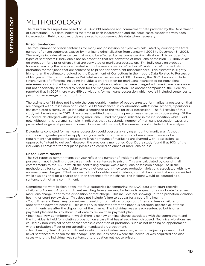# METHODOLOGY

The results in this report are based on 2004-2008 sentence and commitment data provided by the Department of Corrections. This data indicates the time of each incarceration and the court cases associated with each incarceration. Public court records were used to supplement this data when necessary.

#### Prison Sentences

The total number of prison sentences for marijuana possession per year was calculated by counting the total number of prison sentences caused by marijuana criminalization from January 1, 2008 to December 31, 2008. The analysis includes all sentences that would be affected by marijuana decriminalization. This includes four types of sentences: 1) Individuals not on probation that are convicted of marijuana possession. 2). Individuals on probation for a prior offense that are convicted of marijuana possession. 3). Individuals on probation for marijuana only that are incarcerated without a new conviction—"technical" violators. 4). Individuals on probation for marijuana that are sentenced to prison for nonviolent misdemeanors. This estimate is slightly higher than the estimate provided by the Department of Corrections in their report Data Related to Possession of Marijuana. That report estimates 154 total sentences instead of 188. However, the DOC does not include several types of offenders, including individuals on probation for marijuana incarcerated for nonviolent misdemeanors or individuals incarcerated as probation violators that were charged with marijuana possession but not specifically sentenced to prison for the marijuana conviction. As another comparison, the Judiciary reported that in 2007 there were 459 convictions for marijuana possession which overall included sentences to prison for an average of four months.

The estimate of 188 does not include the considerable number of people arrested for marijuana possession that are charged with "Possession of a Schedule I-IV Substance." In collaboration with Miriam Hospital, OpenDoors has completed a survey of 128 individuals sentenced to the ACI for drug possession. The full results of this study will be released in 2010. The survey identified the drug the person was charged with possessing. Of the 23 individuals charged with possessing marijuana, 18 had marijuana indicated in their disposition while 5 did not. Although this is a small sample, it indicates that a substantial number of marijuana possession cases are prosecuted as general possession cases. However, at this point, this number is not included in the analysis.

Defendants convicted for marijuana possession could possess a varying amount of marijuana. Although statutes with greater penalties apply to anyone with more than a pound of marijuana, there is not a requirement that defendants possessing larger amounts of marijuana are charged with "possession" as opposed to "intent to deliver." However, the previously mentioned OpenDoors study found that 90% of the individuals convicted for marijuana possession carried an ounce of marijuana or less.

#### Prison Commitments

The 396 reported commitments per year reflect the number of incidents of incarceration for marijuana possession, not including those cases involving sentences to prison. This was calculated by counting all commitments to the ACI in which the controlling charge was a marijuana possession charge. As in the methodology for sentences, incidents were not counted if they were probation violations associated with new non-marijuana charges. Effort was made to not double count incidents, so that if an individual was committed while awaiting trial for a charge and then sentenced for the charge, the incident would be counted as a sentence but not as a commitment.

Commitments were broken down into four categories by comparing the DOC data with court records: •Failure to Appear: Any commitment resulting from a warrant for failure to appear for a court date for a new marijuana charge, prior to the disposition of that charge. This includes not showing up for a probation violation hearing or court review date. This does not include failure to appear for a court fine hearing. •Court Fines and Fees: Any commitment resulting from failure to pay court fines and fees or failure to appear for a payment hearing. This category is separated from the previous category because all of these commitments are after the disposition of the charge. The individual was already sentenced but is on a payment plan and fails to show up at date to review their payment plan.

•Technical: Any commitment in which there is no new criminal charge associated with the commitment and the individual is held for violating probation on a case that has already been disposed. Technical violations are caused by non-criminal behavior that breaks a condition of probation, such as not keeping an appointment with a probation officer or not attending mandated drug treatment.

•Held Awaiting Trial: Any commitment in which the individual was charged with marijuana possession but never sentenced to prison for the charge. This includes cases where the individual was acquitted and also cases where the individual was sentenced to probation but not to prison.